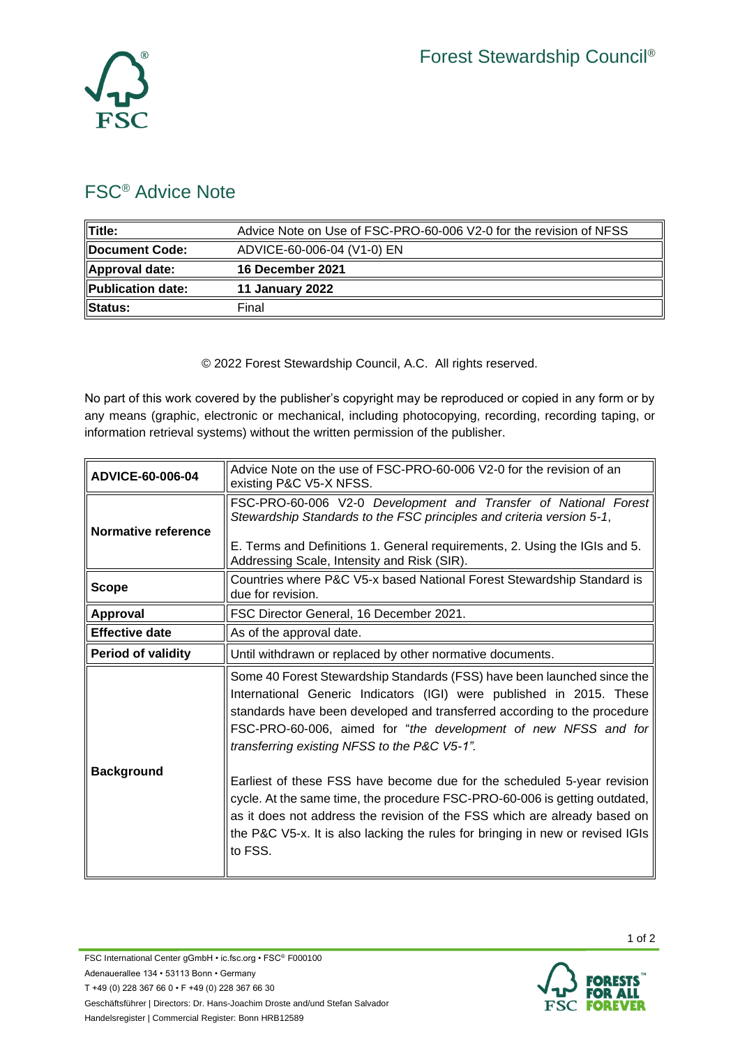

## FSC® Advice Note

| Title:            | Advice Note on Use of FSC-PRO-60-006 V2-0 for the revision of NFSS |
|-------------------|--------------------------------------------------------------------|
| Document Code:    | ADVICE-60-006-04 (V1-0) EN                                         |
| Approval date:    | 16 December 2021                                                   |
| Publication date: | <b>11 January 2022</b>                                             |
| Status:           | Final                                                              |

© 2022 Forest Stewardship Council, A.C. All rights reserved.

No part of this work covered by the publisher's copyright may be reproduced or copied in any form or by any means (graphic, electronic or mechanical, including photocopying, recording, recording taping, or information retrieval systems) without the written permission of the publisher.

| ADVICE-60-006-04          | Advice Note on the use of FSC-PRO-60-006 V2-0 for the revision of an<br>existing P&C V5-X NFSS.                                                                                                                                                                                                                                               |
|---------------------------|-----------------------------------------------------------------------------------------------------------------------------------------------------------------------------------------------------------------------------------------------------------------------------------------------------------------------------------------------|
| Normative reference       | FSC-PRO-60-006 V2-0 Development and Transfer of National Forest<br>Stewardship Standards to the FSC principles and criteria version 5-1,<br>E. Terms and Definitions 1. General requirements, 2. Using the IGIs and 5.                                                                                                                        |
|                           | Addressing Scale, Intensity and Risk (SIR).                                                                                                                                                                                                                                                                                                   |
| <b>Scope</b>              | Countries where P&C V5-x based National Forest Stewardship Standard is<br>due for revision.                                                                                                                                                                                                                                                   |
| Approval                  | FSC Director General, 16 December 2021.                                                                                                                                                                                                                                                                                                       |
| <b>Effective date</b>     | As of the approval date.                                                                                                                                                                                                                                                                                                                      |
| <b>Period of validity</b> | Until withdrawn or replaced by other normative documents.                                                                                                                                                                                                                                                                                     |
|                           | Some 40 Forest Stewardship Standards (FSS) have been launched since the<br>International Generic Indicators (IGI) were published in 2015. These<br>standards have been developed and transferred according to the procedure<br>FSC-PRO-60-006, aimed for "the development of new NFSS and for<br>transferring existing NFSS to the P&C V5-1". |
| <b>Background</b>         | Earliest of these FSS have become due for the scheduled 5-year revision<br>cycle. At the same time, the procedure FSC-PRO-60-006 is getting outdated,<br>as it does not address the revision of the FSS which are already based on<br>the P&C V5-x. It is also lacking the rules for bringing in new or revised IGIs<br>to FSS.               |